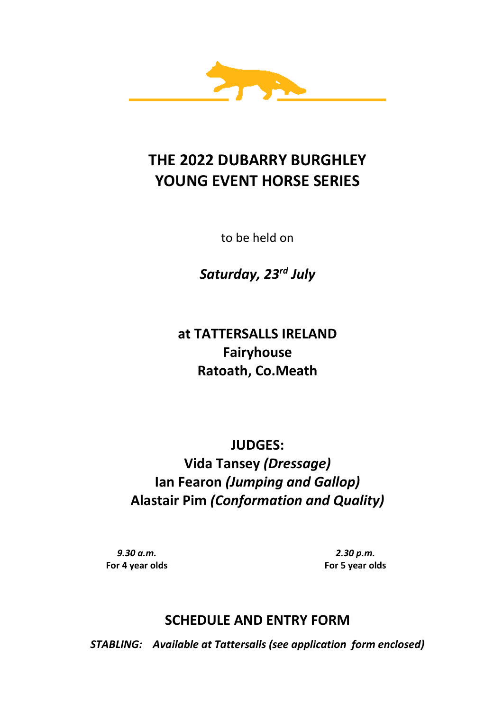

# **THE 2022 DUBARRY BURGHLEY YOUNG EVENT HORSE SERIES**

to be held on

*Saturday, 23rd July*

**at TATTERSALLS IRELAND Fairyhouse Ratoath, Co.Meath**

**JUDGES: Vida Tansey** *(Dressage)* **Ian Fearon** *(Jumping and Gallop)* **Alastair Pim** *(Conformation and Quality)*

*9.30 a.m.* **For 4 year olds**

*2.30 p.m.* **For 5 year olds**

# **SCHEDULE AND ENTRY FORM**

*STABLING: Available at Tattersalls (see application form enclosed)*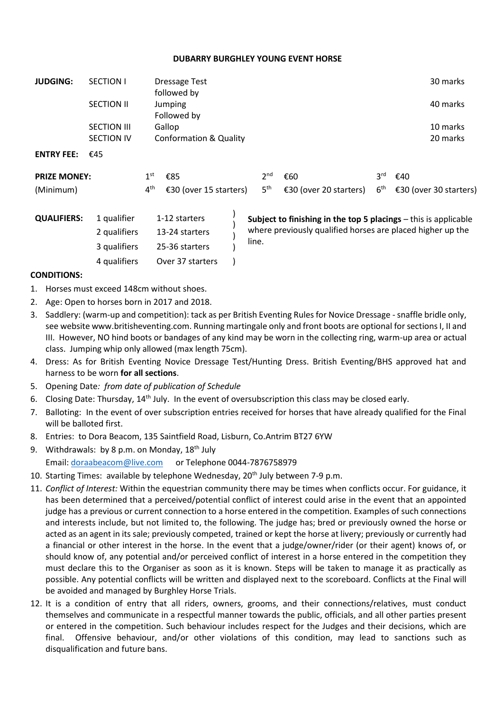## **DUBARRY BURGHLEY YOUNG EVENT HORSE**

| <b>JUDGING:</b>     | <b>SECTION I</b>   | <b>Dressage Test</b><br>followed by |                        |  |                 |                                                                 |                 | 30 marks               |
|---------------------|--------------------|-------------------------------------|------------------------|--|-----------------|-----------------------------------------------------------------|-----------------|------------------------|
|                     | <b>SECTION II</b>  |                                     | Jumping<br>Followed by |  |                 |                                                                 |                 | 40 marks               |
|                     | <b>SECTION III</b> |                                     | Gallop                 |  |                 |                                                                 |                 | 10 marks               |
|                     | <b>SECTION IV</b>  |                                     | Conformation & Quality |  |                 |                                                                 |                 | 20 marks               |
| <b>ENTRY FEE:</b>   | €45                |                                     |                        |  |                 |                                                                 |                 |                        |
| <b>PRIZE MONEY:</b> |                    | 1 <sup>st</sup>                     | €85                    |  | 2 <sup>nd</sup> | €60                                                             | 3 <sup>rd</sup> | €40                    |
| (Minimum)           |                    | $4^{\text{th}}$                     | €30 (over 15 starters) |  | 5 <sup>th</sup> | €30 (over 20 starters)                                          | 6 <sup>th</sup> | €30 (over 30 starters) |
| <b>QUALIFIERS:</b>  | 1 qualifier        |                                     | 1-12 starters          |  |                 | Subject to finishing in the top 5 placings - this is applicable |                 |                        |

) ) ) **Subject to finishing in the top 5 placings** – this is applicable where previously qualified horses are placed higher up the line. 2 qualifiers 13-24 starters 3 qualifiers 25-36 starters

### **CONDITIONS:**

- 1. Horses must exceed 148cm without shoes.
- 2. Age: Open to horses born in 2017 and 2018.
- 3. Saddlery: (warm-up and competition): tack as per British Eventing Rules for Novice Dressage -snaffle bridle only, see website www.britisheventing.com. Running martingale only and front boots are optional for sections I, II and III. However, NO hind boots or bandages of any kind may be worn in the collecting ring, warm-up area or actual class. Jumping whip only allowed (max length 75cm).
- 4. Dress: As for British Eventing Novice Dressage Test/Hunting Dress. British Eventing/BHS approved hat and harness to be worn **for all sections**.
- 5. Opening Date*: from date of publication of Schedule*
- 6. Closing Date: Thursday, 14th July. In the event of oversubscription this class may be closed early.
- 7. Balloting: In the event of over subscription entries received for horses that have already qualified for the Final will be balloted first.
- 8. Entries: to Dora Beacom, 135 Saintfield Road, Lisburn, Co.Antrim BT27 6YW
- 9. Withdrawals: by 8 p.m. on Monday,  $18<sup>th</sup>$  July Email: [doraabeacom@live.com](mailto:doraabeacom@live.com) or Telephone 0044-7876758979

4 qualifiers Over 37 starters )

- 10. Starting Times: available by telephone Wednesday,  $20<sup>th</sup>$  July between 7-9 p.m.
- 11. *Conflict of Interest:* Within the equestrian community there may be times when conflicts occur. For guidance, it has been determined that a perceived/potential conflict of interest could arise in the event that an appointed judge has a previous or current connection to a horse entered in the competition. Examples of such connections and interests include, but not limited to, the following. The judge has; bred or previously owned the horse or acted as an agent in its sale; previously competed, trained or kept the horse at livery; previously or currently had a financial or other interest in the horse. In the event that a judge/owner/rider (or their agent) knows of, or should know of, any potential and/or perceived conflict of interest in a horse entered in the competition they must declare this to the Organiser as soon as it is known. Steps will be taken to manage it as practically as possible. Any potential conflicts will be written and displayed next to the scoreboard. Conflicts at the Final will be avoided and managed by Burghley Horse Trials.
- 12. It is a condition of entry that all riders, owners, grooms, and their connections/relatives, must conduct themselves and communicate in a respectful manner towards the public, officials, and all other parties present or entered in the competition. Such behaviour includes respect for the Judges and their decisions, which are final. Offensive behaviour, and/or other violations of this condition, may lead to sanctions such as disqualification and future bans.